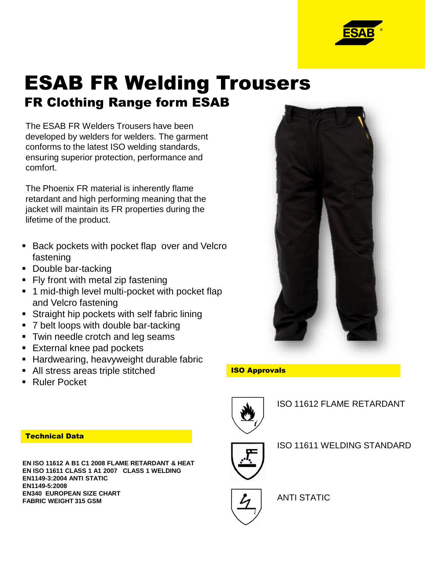

# ESAB FR Welding Trousers FR Clothing Range form ESAB

The ESAB FR Welders Trousers have been developed by welders for welders. The garment conforms to the latest ISO welding standards, ensuring superior protection, performance and comfort.

The Phoenix FR material is inherently flame retardant and high performing meaning that the jacket will maintain its FR properties during the lifetime of the product.

- **Back pockets with pocket flap over and Velcro** fastening
- Double bar-tacking
- Fly front with metal zip fastening
- **1** mid-thigh level multi-pocket with pocket flap and Velcro fastening
- **Straight hip pockets with self fabric lining**
- 7 belt loops with double bar-tacking
- **Twin needle crotch and leg seams**
- **External knee pad pockets**
- **Hardwearing, heavyweight durable fabric**
- All stress areas triple stitched
- Ruler Pocket

# Technical Data

**EN ISO 11612 A B1 C1 2008 FLAME RETARDANT & HEAT EN ISO 11611 CLASS 1 A1 2007 CLASS 1 WELDING EN1149-3:2004 ANTI STATIC EN1149-5:2008 EN340 EUROPEAN SIZE CHART FABRIC WEIGHT 315 GSM**



# ISO Approvals



ISO 11612 FLAME RETARDANT



ISO 11611 WELDING STANDARD



ANTI STATIC